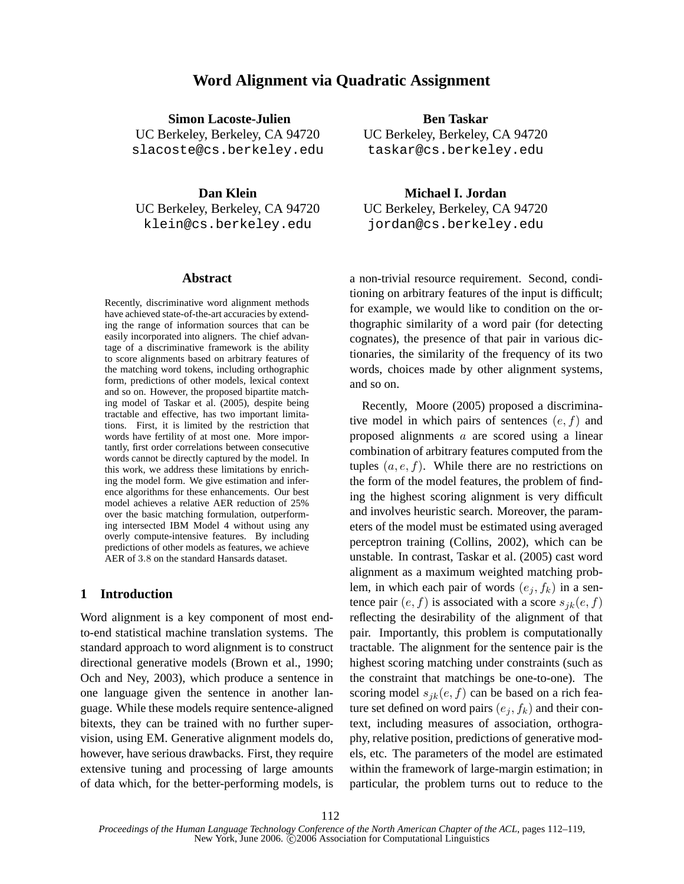# **Word Alignment via Quadratic Assignment**

**Simon Lacoste-Julien**

UC Berkeley, Berkeley, CA 94720 slacoste@cs.berkeley.edu

**Dan Klein**

UC Berkeley, Berkeley, CA 94720 klein@cs.berkeley.edu

#### **Abstract**

Recently, discriminative word alignment methods have achieved state-of-the-art accuracies by extending the range of information sources that can be easily incorporated into aligners. The chief advantage of a discriminative framework is the ability to score alignments based on arbitrary features of the matching word tokens, including orthographic form, predictions of other models, lexical context and so on. However, the proposed bipartite matching model of Taskar et al. (2005), despite being tractable and effective, has two important limitations. First, it is limited by the restriction that words have fertility of at most one. More importantly, first order correlations between consecutive words cannot be directly captured by the model. In this work, we address these limitations by enriching the model form. We give estimation and inference algorithms for these enhancements. Our best model achieves a relative AER reduction of 25% over the basic matching formulation, outperforming intersected IBM Model 4 without using any overly compute-intensive features. By including predictions of other models as features, we achieve AER of 3.8 on the standard Hansards dataset.

### **1 Introduction**

Word alignment is a key component of most endto-end statistical machine translation systems. The standard approach to word alignment is to construct directional generative models (Brown et al., 1990; Och and Ney, 2003), which produce a sentence in one language given the sentence in another language. While these models require sentence-aligned bitexts, they can be trained with no further supervision, using EM. Generative alignment models do, however, have serious drawbacks. First, they require extensive tuning and processing of large amounts of data which, for the better-performing models, is

**Ben Taskar** UC Berkeley, Berkeley, CA 94720 taskar@cs.berkeley.edu

**Michael I. Jordan** UC Berkeley, Berkeley, CA 94720 jordan@cs.berkeley.edu

a non-trivial resource requirement. Second, conditioning on arbitrary features of the input is difficult; for example, we would like to condition on the orthographic similarity of a word pair (for detecting cognates), the presence of that pair in various dictionaries, the similarity of the frequency of its two words, choices made by other alignment systems, and so on.

Recently, Moore (2005) proposed a discriminative model in which pairs of sentences  $(e, f)$  and proposed alignments a are scored using a linear combination of arbitrary features computed from the tuples  $(a, e, f)$ . While there are no restrictions on the form of the model features, the problem of finding the highest scoring alignment is very difficult and involves heuristic search. Moreover, the parameters of the model must be estimated using averaged perceptron training (Collins, 2002), which can be unstable. In contrast, Taskar et al. (2005) cast word alignment as a maximum weighted matching problem, in which each pair of words  $(e_i, f_k)$  in a sentence pair  $(e, f)$  is associated with a score  $s_{ik}(e, f)$ reflecting the desirability of the alignment of that pair. Importantly, this problem is computationally tractable. The alignment for the sentence pair is the highest scoring matching under constraints (such as the constraint that matchings be one-to-one). The scoring model  $s_{jk}(e, f)$  can be based on a rich feature set defined on word pairs  $(e_i, f_k)$  and their context, including measures of association, orthography, relative position, predictions of generative models, etc. The parameters of the model are estimated within the framework of large-margin estimation; in particular, the problem turns out to reduce to the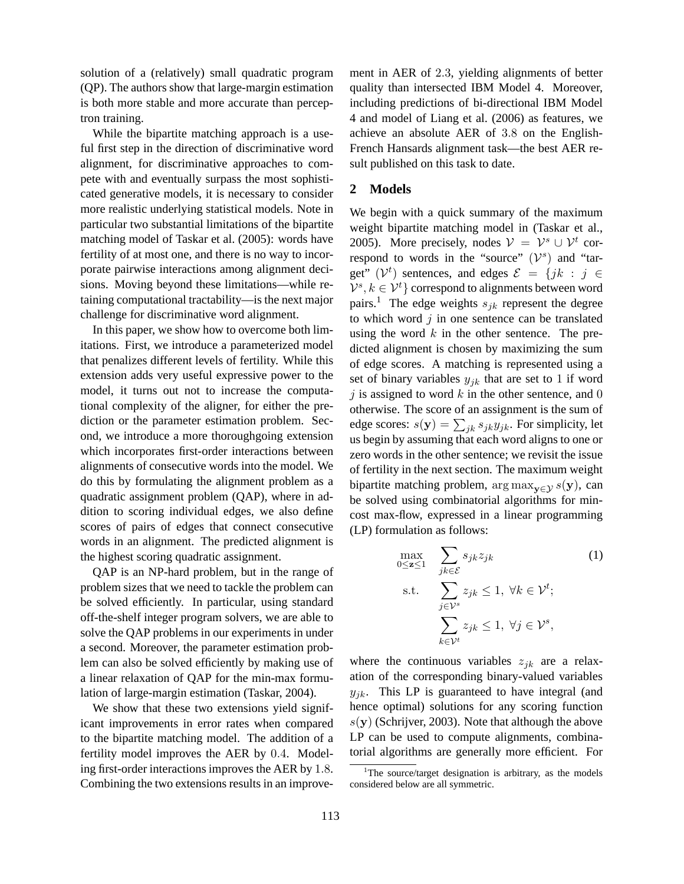solution of a (relatively) small quadratic program (QP). The authors show that large-margin estimation is both more stable and more accurate than perceptron training.

While the bipartite matching approach is a useful first step in the direction of discriminative word alignment, for discriminative approaches to compete with and eventually surpass the most sophisticated generative models, it is necessary to consider more realistic underlying statistical models. Note in particular two substantial limitations of the bipartite matching model of Taskar et al. (2005): words have fertility of at most one, and there is no way to incorporate pairwise interactions among alignment decisions. Moving beyond these limitations—while retaining computational tractability—is the next major challenge for discriminative word alignment.

In this paper, we show how to overcome both limitations. First, we introduce a parameterized model that penalizes different levels of fertility. While this extension adds very useful expressive power to the model, it turns out not to increase the computational complexity of the aligner, for either the prediction or the parameter estimation problem. Second, we introduce a more thoroughgoing extension which incorporates first-order interactions between alignments of consecutive words into the model. We do this by formulating the alignment problem as a quadratic assignment problem (QAP), where in addition to scoring individual edges, we also define scores of pairs of edges that connect consecutive words in an alignment. The predicted alignment is the highest scoring quadratic assignment.

QAP is an NP-hard problem, but in the range of problem sizes that we need to tackle the problem can be solved efficiently. In particular, using standard off-the-shelf integer program solvers, we are able to solve the QAP problems in our experiments in under a second. Moreover, the parameter estimation problem can also be solved efficiently by making use of a linear relaxation of QAP for the min-max formulation of large-margin estimation (Taskar, 2004).

We show that these two extensions yield significant improvements in error rates when compared to the bipartite matching model. The addition of a fertility model improves the AER by 0.4. Modeling first-order interactions improves the AER by 1.8. Combining the two extensions results in an improvement in AER of 2.3, yielding alignments of better quality than intersected IBM Model 4. Moreover, including predictions of bi-directional IBM Model 4 and model of Liang et al. (2006) as features, we achieve an absolute AER of 3.8 on the English-French Hansards alignment task—the best AER result published on this task to date.

#### **2 Models**

We begin with a quick summary of the maximum weight bipartite matching model in (Taskar et al., 2005). More precisely, nodes  $V = V^s \cup V^t$  correspond to words in the "source"  $(\mathcal{V}^s)$  and "target"  $(\mathcal{V}^t)$  sentences, and edges  $\mathcal{E} = \{jk : j \in \mathcal{E}\}$  $\mathcal{V}^{s}, k \in \mathcal{V}^{t}$  correspond to alignments between word pairs.<sup>1</sup> The edge weights  $s_{ik}$  represent the degree to which word  $j$  in one sentence can be translated using the word  $k$  in the other sentence. The predicted alignment is chosen by maximizing the sum of edge scores. A matching is represented using a set of binary variables  $y_{jk}$  that are set to 1 if word j is assigned to word  $k$  in the other sentence, and 0 otherwise. The score of an assignment is the sum of edge scores:  $s(\mathbf{y}) = \sum_{jk} s_{jk} y_{jk}$ . For simplicity, let us begin by assuming that each word aligns to one or zero words in the other sentence; we revisit the issue of fertility in the next section. The maximum weight bipartite matching problem,  $\arg \max_{\mathbf{v} \in \mathcal{V}} s(\mathbf{y})$ , can be solved using combinatorial algorithms for mincost max-flow, expressed in a linear programming (LP) formulation as follows:

$$
\max_{0 \le z \le 1} \sum_{j_k \in \mathcal{E}} s_{jk} z_{jk} \qquad (1)
$$
\n
$$
\text{s.t.} \sum_{j \in \mathcal{V}^s} z_{jk} \le 1, \ \forall k \in \mathcal{V}^t;
$$
\n
$$
\sum_{k \in \mathcal{V}^t} z_{jk} \le 1, \ \forall j \in \mathcal{V}^s,
$$

where the continuous variables  $z_{jk}$  are a relaxation of the corresponding binary-valued variables  $y_{ik}$ . This LP is guaranteed to have integral (and hence optimal) solutions for any scoring function  $s(y)$  (Schrijver, 2003). Note that although the above LP can be used to compute alignments, combinatorial algorithms are generally more efficient. For

<sup>&</sup>lt;sup>1</sup>The source/target designation is arbitrary, as the models considered below are all symmetric.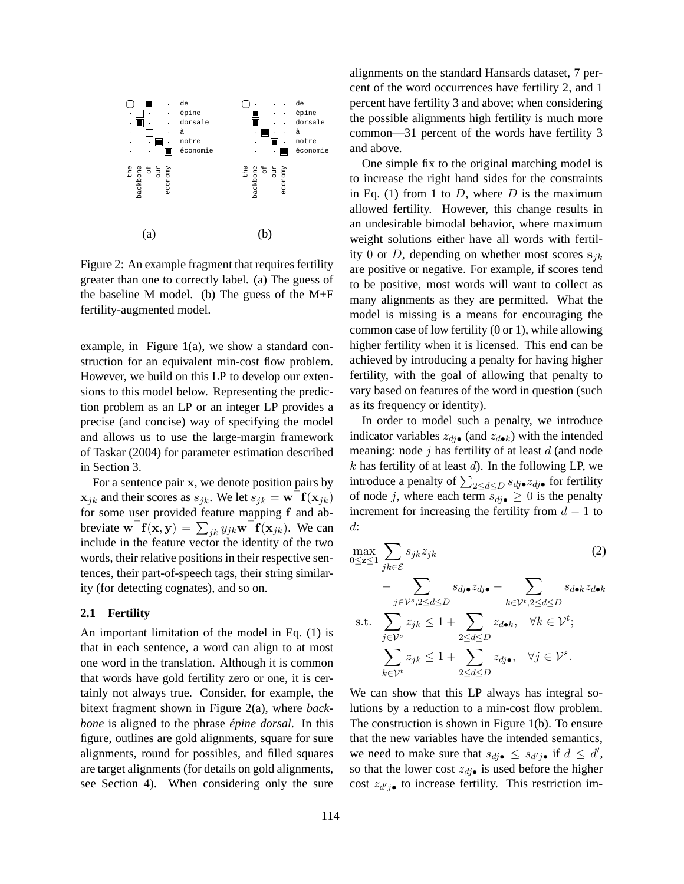

Figure 2: An example fragment that requires fertility greater than one to correctly label. (a) The guess of the baseline M model. (b) The guess of the M+F fertility-augmented model.

example, in Figure 1(a), we show a standard construction for an equivalent min-cost flow problem. However, we build on this LP to develop our extensions to this model below. Representing the prediction problem as an LP or an integer LP provides a precise (and concise) way of specifying the model and allows us to use the large-margin framework of Taskar (2004) for parameter estimation described in Section 3.

For a sentence pair x, we denote position pairs by  $x_{jk}$  and their scores as  $s_{jk}$ . We let  $s_{jk} = \mathbf{w}^\top \mathbf{f}(\mathbf{x}_{jk})$ for some user provided feature mapping f and abbreviate  $\mathbf{w}^\top \mathbf{f}(\mathbf{x}, \mathbf{y}) = \sum_{jk} y_{jk} \mathbf{w}^\top \mathbf{f}(\mathbf{x}_{jk})$ . We can include in the feature vector the identity of the two words, their relative positions in their respective sentences, their part-of-speech tags, their string similarity (for detecting cognates), and so on.

### **2.1 Fertility**

An important limitation of the model in Eq. (1) is that in each sentence, a word can align to at most one word in the translation. Although it is common that words have gold fertility zero or one, it is certainly not always true. Consider, for example, the bitext fragment shown in Figure 2(a), where *backbone* is aligned to the phrase *épine dorsal*. In this figure, outlines are gold alignments, square for sure alignments, round for possibles, and filled squares are target alignments (for details on gold alignments, see Section 4). When considering only the sure alignments on the standard Hansards dataset, 7 percent of the word occurrences have fertility 2, and 1 percent have fertility 3 and above; when considering the possible alignments high fertility is much more common—31 percent of the words have fertility 3 and above.

One simple fix to the original matching model is to increase the right hand sides for the constraints in Eq. (1) from 1 to  $D$ , where  $D$  is the maximum allowed fertility. However, this change results in an undesirable bimodal behavior, where maximum weight solutions either have all words with fertility 0 or D, depending on whether most scores  $s_{ik}$ are positive or negative. For example, if scores tend to be positive, most words will want to collect as many alignments as they are permitted. What the model is missing is a means for encouraging the common case of low fertility (0 or 1), while allowing higher fertility when it is licensed. This end can be achieved by introducing a penalty for having higher fertility, with the goal of allowing that penalty to vary based on features of the word in question (such as its frequency or identity).

In order to model such a penalty, we introduce indicator variables  $z_{di\bullet}$  (and  $z_{d\bullet k}$ ) with the intended meaning: node  $j$  has fertility of at least  $d$  (and node  $k$  has fertility of at least  $d$ ). In the following LP, we introduce a penalty of  $\sum_{2\leq d\leq D} s_{dj}\bullet z_{dj}\bullet$  for fertility of node j, where each term  $s_{dj\bullet} \geq 0$  is the penalty increment for increasing the fertility from  $d - 1$  to d:

$$
\max_{0 \leq \mathbf{z} \leq 1} \sum_{jk \in \mathcal{E}} s_{jk} z_{jk} \tag{2}
$$
\n
$$
- \sum_{j \in \mathcal{V}^s, 2 \leq d \leq D} s_{dj \bullet} z_{dj \bullet} - \sum_{k \in \mathcal{V}^t, 2 \leq d \leq D} s_{d \bullet k} z_{d \bullet k}
$$

s.t. 
$$
\sum_{j \in \mathcal{V}^s} z_{jk} \le 1 + \sum_{2 \le d \le D} z_{d\bullet k}, \quad \forall k \in \mathcal{V}^t;
$$

$$
\sum_{k \in \mathcal{V}^t} z_{jk} \le 1 + \sum_{2 \le d \le D} z_{d\bullet k}, \quad \forall j \in \mathcal{V}^s.
$$

We can show that this LP always has integral solutions by a reduction to a min-cost flow problem. The construction is shown in Figure 1(b). To ensure that the new variables have the intended semantics, we need to make sure that  $s_{dj \bullet} \leq s_{d'j \bullet}$  if  $d \leq d'$ , so that the lower cost  $z_{di\bullet}$  is used before the higher cost  $z_{d'j\bullet}$  to increase fertility. This restriction im-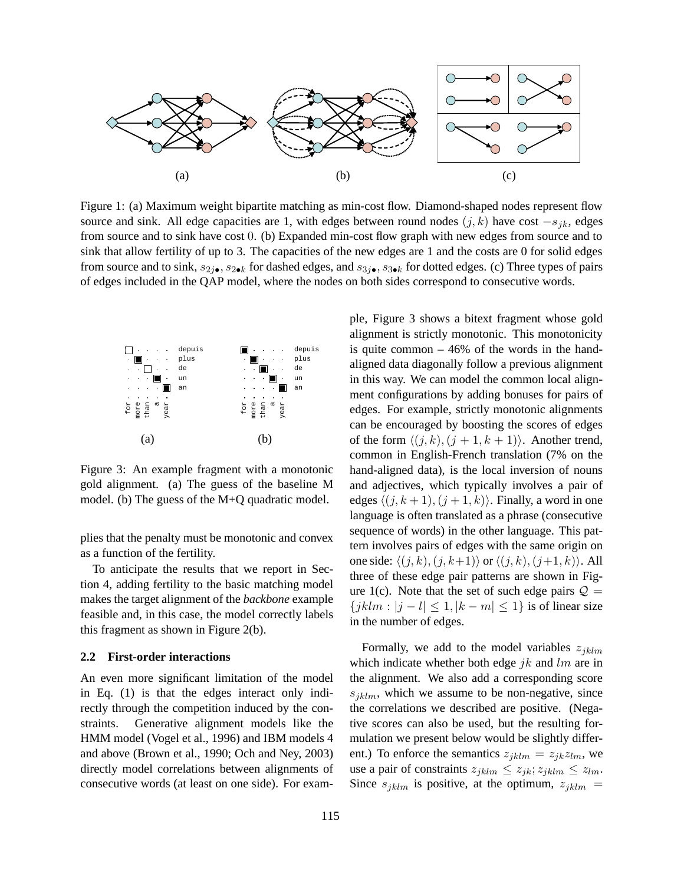

Figure 1: (a) Maximum weight bipartite matching as min-cost flow. Diamond-shaped nodes represent flow source and sink. All edge capacities are 1, with edges between round nodes  $(j, k)$  have cost  $-s<sub>ik</sub>$ , edges from source and to sink have cost 0. (b) Expanded min-cost flow graph with new edges from source and to sink that allow fertility of up to 3. The capacities of the new edges are 1 and the costs are 0 for solid edges from source and to sink,  $s_{2j\bullet}$ ,  $s_{2\bullet k}$  for dashed edges, and  $s_{3j\bullet}$ ,  $s_{3\bullet k}$  for dotted edges. (c) Three types of pairs of edges included in the QAP model, where the nodes on both sides correspond to consecutive words.



Figure 3: An example fragment with a monotonic gold alignment. (a) The guess of the baseline M model. (b) The guess of the M+Q quadratic model.

plies that the penalty must be monotonic and convex as a function of the fertility.

To anticipate the results that we report in Section 4, adding fertility to the basic matching model makes the target alignment of the *backbone* example feasible and, in this case, the model correctly labels this fragment as shown in Figure 2(b).

#### **2.2 First-order interactions**

An even more significant limitation of the model in Eq. (1) is that the edges interact only indirectly through the competition induced by the constraints. Generative alignment models like the HMM model (Vogel et al., 1996) and IBM models 4 and above (Brown et al., 1990; Och and Ney, 2003) directly model correlations between alignments of consecutive words (at least on one side). For example, Figure 3 shows a bitext fragment whose gold alignment is strictly monotonic. This monotonicity is quite common  $-46%$  of the words in the handaligned data diagonally follow a previous alignment in this way. We can model the common local alignment configurations by adding bonuses for pairs of edges. For example, strictly monotonic alignments can be encouraged by boosting the scores of edges of the form  $\langle (j, k), (j + 1, k + 1) \rangle$ . Another trend, common in English-French translation (7% on the hand-aligned data), is the local inversion of nouns and adjectives, which typically involves a pair of edges  $\langle (j, k + 1), (j + 1, k) \rangle$ . Finally, a word in one language is often translated as a phrase (consecutive sequence of words) in the other language. This pattern involves pairs of edges with the same origin on one side:  $\langle (j, k), (j, k+1) \rangle$  or  $\langle (j, k), (j+1, k) \rangle$ . All three of these edge pair patterns are shown in Figure 1(c). Note that the set of such edge pairs  $Q =$  ${jklm : |j - l| \leq 1, |k - m| \leq 1}$  is of linear size in the number of edges.

Formally, we add to the model variables  $z_{iklm}$ which indicate whether both edge  $jk$  and  $lm$  are in the alignment. We also add a corresponding score  $s_{iklm}$ , which we assume to be non-negative, since the correlations we described are positive. (Negative scores can also be used, but the resulting formulation we present below would be slightly different.) To enforce the semantics  $z_{jklm} = z_{jk}z_{lm}$ , we use a pair of constraints  $z_{jklm} \leq z_{jk}; z_{jklm} \leq z_{lm}.$ Since  $s_{jklm}$  is positive, at the optimum,  $z_{jklm}$  =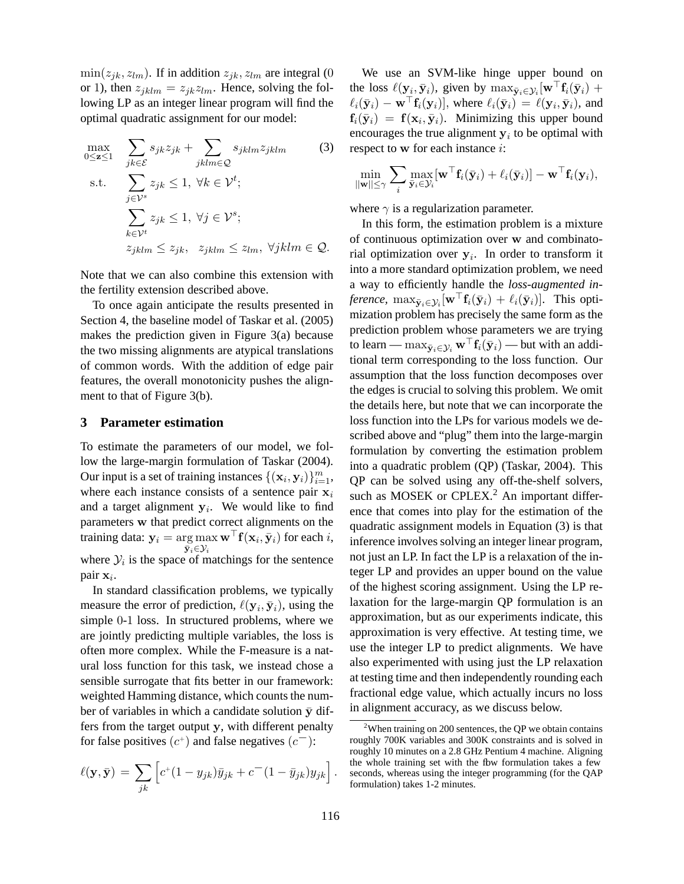$\min(z_{jk}, z_{lm})$ . If in addition  $z_{jk}, z_{lm}$  are integral (0 or 1), then  $z_{jklm} = z_{jk}z_{lm}$ . Hence, solving the following LP as an integer linear program will find the optimal quadratic assignment for our model:

$$
\max_{0 \leq z \leq 1} \sum_{jk \in \mathcal{E}} s_{jk} z_{jk} + \sum_{jklm \in \mathcal{Q}} s_{jklm} z_{jklm}
$$
\ns.t.

\n
$$
\sum_{j \in \mathcal{V}^s} z_{jk} \leq 1, \forall k \in \mathcal{V}^t;
$$
\n
$$
\sum_{k \in \mathcal{V}^t} z_{jk} \leq 1, \forall j \in \mathcal{V}^s;
$$
\n
$$
z_{jklm} \leq z_{jk}, \quad z_{jklm} \leq z_{lm}, \forall jklm \in \mathcal{Q}.
$$
\n(3)

Note that we can also combine this extension with the fertility extension described above.

To once again anticipate the results presented in Section 4, the baseline model of Taskar et al. (2005) makes the prediction given in Figure 3(a) because the two missing alignments are atypical translations of common words. With the addition of edge pair features, the overall monotonicity pushes the alignment to that of Figure 3(b).

### **3 Parameter estimation**

To estimate the parameters of our model, we follow the large-margin formulation of Taskar (2004). Our input is a set of training instances  $\{(\mathbf{x}_i, \mathbf{y}_i)\}_{i=1}^m$ , where each instance consists of a sentence pair  $x_i$ and a target alignment  $y_i$ . We would like to find parameters w that predict correct alignments on the training data:  $\mathbf{y}_i = \argmax \mathbf{w}^\top \mathbf{f}(\mathbf{x}_i, \bar{\mathbf{y}}_i)$  for each  $i,$  $\bar{\mathbf{y}}_i{\in}\mathcal{Y}_i$ where  $\mathcal{Y}_i$  is the space of matchings for the sentence pair  $\mathbf{x}_i$ .

In standard classification problems, we typically measure the error of prediction,  $\ell(\mathbf{y}_i, \bar{\mathbf{y}}_i)$ , using the simple 0-1 loss. In structured problems, where we are jointly predicting multiple variables, the loss is often more complex. While the F-measure is a natural loss function for this task, we instead chose a sensible surrogate that fits better in our framework: weighted Hamming distance, which counts the number of variables in which a candidate solution  $\bar{y}$  differs from the target output y, with different penalty for false positives  $(c^+)$  and false negatives  $(c^-)$ :

$$
\ell(\mathbf{y}, \bar{\mathbf{y}}) = \sum_{jk} \left[ c^+(1 - y_{jk}) \bar{y}_{jk} + c^-(1 - \bar{y}_{jk}) y_{jk} \right].
$$

We use an SVM-like hinge upper bound on the loss  $\ell(\mathbf{y}_i, \bar{\mathbf{y}}_i)$ , given by  $\max_{\bar{\mathbf{y}}_i \in \mathcal{Y}_i} [\mathbf{w}^\top \mathbf{f}_i(\bar{\mathbf{y}}_i) +$  $\ell_i(\bar{\mathbf{y}}_i) - \mathbf{w}^\top \mathbf{f}_i(\mathbf{y}_i)$ , where  $\ell_i(\bar{\mathbf{y}}_i) = \ell(\mathbf{y}_i, \bar{\mathbf{y}}_i)$ , and  $\mathbf{f}_i(\bar{\mathbf{y}}_i) = \mathbf{f}(\mathbf{x}_i, \bar{\mathbf{y}}_i)$ . Minimizing this upper bound encourages the true alignment  $y_i$  to be optimal with respect to w for each instance i:

$$
\min_{||\mathbf{w}|| \leq \gamma} \sum_{i} \max_{\bar{\mathbf{y}}_i \in \mathcal{Y}_i} [\mathbf{w}^\top \mathbf{f}_i(\bar{\mathbf{y}}_i) + \ell_i(\bar{\mathbf{y}}_i)] - \mathbf{w}^\top \mathbf{f}_i(\mathbf{y}_i),
$$

where  $\gamma$  is a regularization parameter.

In this form, the estimation problem is a mixture of continuous optimization over w and combinatorial optimization over  $y_i$ . In order to transform it into a more standard optimization problem, we need a way to efficiently handle the *loss-augmented in-* $\emph{ference}, \ \max_{\bar{\textbf{y}}_i \in \mathcal{Y}_i} [\textbf{w}^\top \textbf{f}_i(\bar{\textbf{y}}_i) + \ell_i(\bar{\textbf{y}}_i)].$  This optimization problem has precisely the same form as the prediction problem whose parameters we are trying to learn —  $\max_{\bar{\mathbf{y}}_i \in \mathcal{Y}_i} \mathbf{w}^\top \mathbf{f}_i(\bar{\mathbf{y}}_i)$  — but with an additional term corresponding to the loss function. Our assumption that the loss function decomposes over the edges is crucial to solving this problem. We omit the details here, but note that we can incorporate the loss function into the LPs for various models we described above and "plug" them into the large-margin formulation by converting the estimation problem into a quadratic problem (QP) (Taskar, 2004). This QP can be solved using any off-the-shelf solvers, such as MOSEK or CPLEX.<sup>2</sup> An important difference that comes into play for the estimation of the quadratic assignment models in Equation (3) is that inference involves solving an integer linear program, not just an LP. In fact the LP is a relaxation of the integer LP and provides an upper bound on the value of the highest scoring assignment. Using the LP relaxation for the large-margin QP formulation is an approximation, but as our experiments indicate, this approximation is very effective. At testing time, we use the integer LP to predict alignments. We have also experimented with using just the LP relaxation at testing time and then independently rounding each fractional edge value, which actually incurs no loss in alignment accuracy, as we discuss below.

 $2$ When training on 200 sentences, the QP we obtain contains roughly 700K variables and 300K constraints and is solved in roughly 10 minutes on a 2.8 GHz Pentium 4 machine. Aligning the whole training set with the flow formulation takes a few seconds, whereas using the integer programming (for the QAP formulation) takes 1-2 minutes.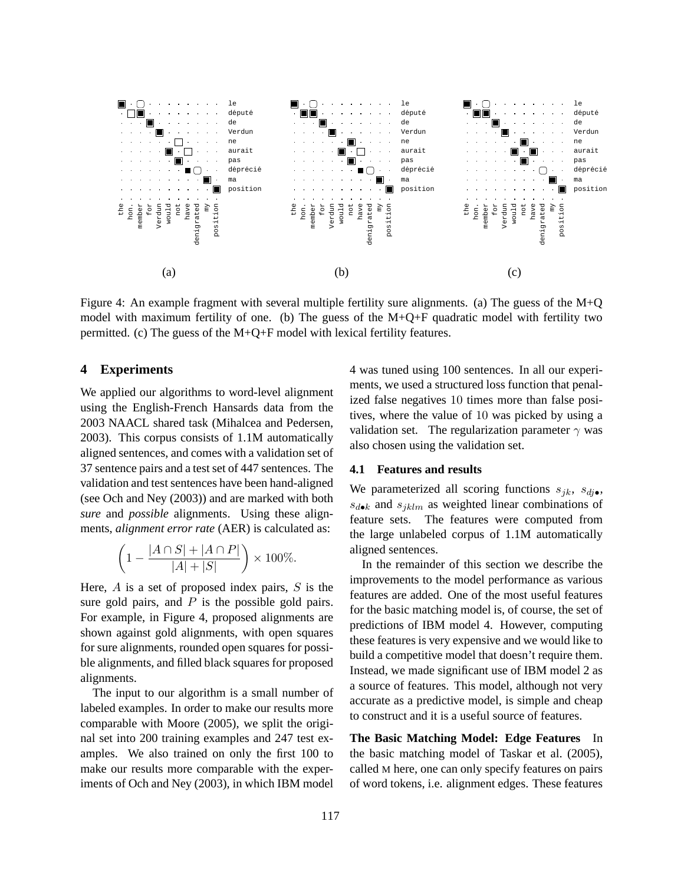

Figure 4: An example fragment with several multiple fertility sure alignments. (a) The guess of the M+Q model with maximum fertility of one. (b) The guess of the  $M+Q+F$  quadratic model with fertility two permitted. (c) The guess of the  $M+Q+F$  model with lexical fertility features.

# **4 Experiments**

We applied our algorithms to word-level alignment using the English-French Hansards data from the 2003 NAACL shared task (Mihalcea and Pedersen, 2003). This corpus consists of 1.1M automatically aligned sentences, and comes with a validation set of 37 sentence pairs and a test set of 447 sentences. The validation and test sentences have been hand-aligned (see Och and Ney (2003)) and are marked with both *sure* and *possible* alignments. Using these alignments, *alignment error rate* (AER) is calculated as:

$$
\left(1 - \frac{|A \cap S| + |A \cap P|}{|A| + |S|}\right) \times 100\%.
$$

Here,  $A$  is a set of proposed index pairs,  $S$  is the sure gold pairs, and  $P$  is the possible gold pairs. For example, in Figure 4, proposed alignments are shown against gold alignments, with open squares for sure alignments, rounded open squares for possible alignments, and filled black squares for proposed alignments.

The input to our algorithm is a small number of labeled examples. In order to make our results more comparable with Moore (2005), we split the original set into 200 training examples and 247 test examples. We also trained on only the first 100 to make our results more comparable with the experiments of Och and Ney (2003), in which IBM model

4 was tuned using 100 sentences. In all our experiments, we used a structured loss function that penalized false negatives 10 times more than false positives, where the value of 10 was picked by using a validation set. The regularization parameter  $\gamma$  was also chosen using the validation set.

#### **4.1 Features and results**

We parameterized all scoring functions  $s_{ik}$ ,  $s_{di\bullet}$ ,  $s_{d\bullet k}$  and  $s_{iklm}$  as weighted linear combinations of feature sets. The features were computed from the large unlabeled corpus of 1.1M automatically aligned sentences.

In the remainder of this section we describe the improvements to the model performance as various features are added. One of the most useful features for the basic matching model is, of course, the set of predictions of IBM model 4. However, computing these features is very expensive and we would like to build a competitive model that doesn't require them. Instead, we made significant use of IBM model 2 as a source of features. This model, although not very accurate as a predictive model, is simple and cheap to construct and it is a useful source of features.

**The Basic Matching Model: Edge Features** In the basic matching model of Taskar et al. (2005), called M here, one can only specify features on pairs of word tokens, i.e. alignment edges. These features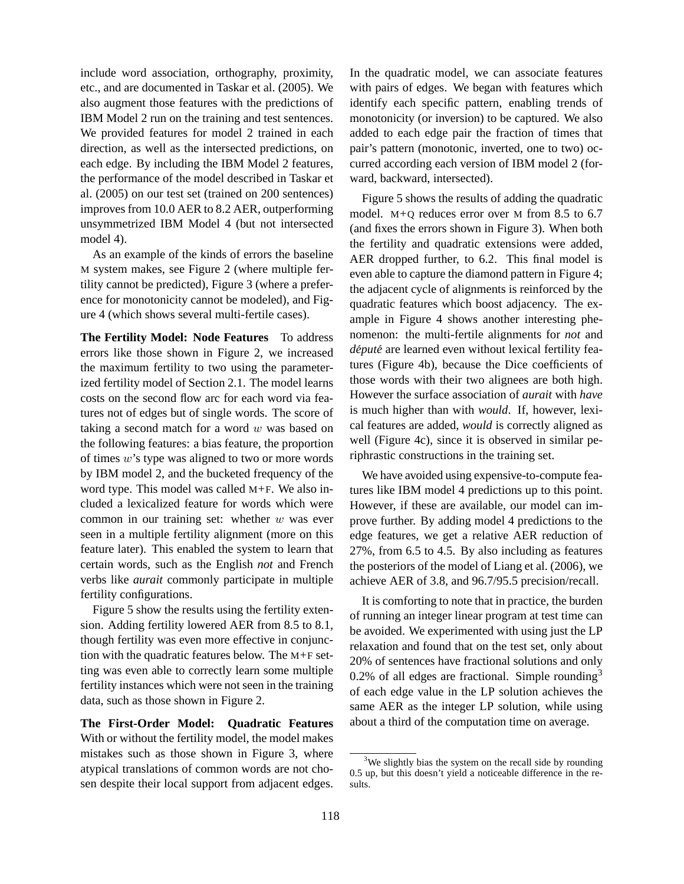include word association, orthography, proximity, etc., and are documented in Taskar et al. (2005). We also augment those features with the predictions of IBM Model 2 run on the training and test sentences. We provided features for model 2 trained in each direction, as well as the intersected predictions, on each edge. By including the IBM Model 2 features, the performance of the model described in Taskar et al. (2005) on our test set (trained on 200 sentences) improves from 10.0 AER to 8.2 AER, outperforming unsymmetrized IBM Model 4 (but not intersected model 4).

As an example of the kinds of errors the baseline M system makes, see Figure 2 (where multiple fertility cannot be predicted), Figure 3 (where a preference for monotonicity cannot be modeled), and Figure 4 (which shows several multi-fertile cases).

**The Fertility Model: Node Features** To address errors like those shown in Figure 2, we increased the maximum fertility to two using the parameterized fertility model of Section 2.1. The model learns costs on the second flow arc for each word via features not of edges but of single words. The score of taking a second match for a word  $w$  was based on the following features: a bias feature, the proportion of times w's type was aligned to two or more words by IBM model 2, and the bucketed frequency of the word type. This model was called M+F. We also included a lexicalized feature for words which were common in our training set: whether  $w$  was ever seen in a multiple fertility alignment (more on this feature later). This enabled the system to learn that certain words, such as the English *not* and French verbs like *aurait* commonly participate in multiple fertility configurations.

Figure 5 show the results using the fertility extension. Adding fertility lowered AER from 8.5 to 8.1, though fertility was even more effective in conjunction with the quadratic features below. The M+F setting was even able to correctly learn some multiple fertility instances which were not seen in the training data, such as those shown in Figure 2.

**The First-Order Model: Quadratic Features** With or without the fertility model, the model makes mistakes such as those shown in Figure 3, where atypical translations of common words are not chosen despite their local support from adjacent edges. In the quadratic model, we can associate features with pairs of edges. We began with features which identify each specific pattern, enabling trends of monotonicity (or inversion) to be captured. We also added to each edge pair the fraction of times that pair's pattern (monotonic, inverted, one to two) occurred according each version of IBM model 2 (forward, backward, intersected).

Figure 5 shows the results of adding the quadratic model. M+Q reduces error over M from 8.5 to 6.7 (and fixes the errors shown in Figure 3). When both the fertility and quadratic extensions were added, AER dropped further, to 6.2. This final model is even able to capture the diamond pattern in Figure 4; the adjacent cycle of alignments is reinforced by the quadratic features which boost adjacency. The example in Figure 4 shows another interesting phenomenon: the multi-fertile alignments for *not* and *député* are learned even without lexical fertility features (Figure 4b), because the Dice coefficients of those words with their two alignees are both high. However the surface association of *aurait* with *have* is much higher than with *would*. If, however, lexical features are added, *would* is correctly aligned as well (Figure 4c), since it is observed in similar periphrastic constructions in the training set.

We have avoided using expensive-to-compute features like IBM model 4 predictions up to this point. However, if these are available, our model can improve further. By adding model 4 predictions to the edge features, we get a relative AER reduction of 27%, from 6.5 to 4.5. By also including as features the posteriors of the model of Liang et al. (2006), we achieve AER of 3.8, and 96.7/95.5 precision/recall.

It is comforting to note that in practice, the burden of running an integer linear program at test time can be avoided. We experimented with using just the LP relaxation and found that on the test set, only about 20% of sentences have fractional solutions and only 0.2% of all edges are fractional. Simple rounding<sup>3</sup> of each edge value in the LP solution achieves the same AER as the integer LP solution, while using about a third of the computation time on average.

<sup>&</sup>lt;sup>3</sup>We slightly bias the system on the recall side by rounding 0.5 up, but this doesn't yield a noticeable difference in the results.